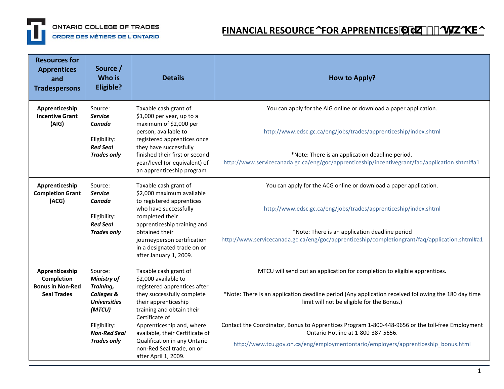

ORDRE DES MÉTIERS DE L'ONTARIO

## **FINANCIAL RESOURCEOFOR APPRENTICES**  $\overrightarrow{u}$   $\overrightarrow{h}$  - ch-ko\Vo

| <b>Resources for</b><br><b>Apprentices</b><br>and<br><b>Tradespersons</b>     | Source /<br><b>Who is</b><br>Eligible?                                                       | <b>Details</b>                                                                                                                                                                                                                                                       | <b>How to Apply?</b>                                                                                                                                                                                                                                                                      |
|-------------------------------------------------------------------------------|----------------------------------------------------------------------------------------------|----------------------------------------------------------------------------------------------------------------------------------------------------------------------------------------------------------------------------------------------------------------------|-------------------------------------------------------------------------------------------------------------------------------------------------------------------------------------------------------------------------------------------------------------------------------------------|
| Apprenticeship<br><b>Incentive Grant</b><br>(AIG)                             | Source:<br><b>Service</b><br>Canada<br>Eligibility:<br><b>Red Seal</b>                       | Taxable cash grant of<br>\$1,000 per year, up to a<br>maximum of \$2,000 per<br>person, available to<br>registered apprentices once<br>they have successfully                                                                                                        | You can apply for the AIG online or download a paper application.<br>http://www.edsc.gc.ca/eng/jobs/trades/apprenticeship/index.shtml                                                                                                                                                     |
|                                                                               | <b>Trades only</b>                                                                           | finished their first or second<br>year/level (or equivalent) of<br>an apprenticeship program                                                                                                                                                                         | *Note: There is an application deadline period.<br>http://www.servicecanada.gc.ca/eng/goc/apprenticeship/incentivegrant/faq/application.shtml#a1                                                                                                                                          |
| Apprenticeship<br><b>Completion Grant</b><br>(ACG)                            | Source:<br><b>Service</b><br>Canada<br>Eligibility:<br><b>Red Seal</b><br><b>Trades only</b> | Taxable cash grant of<br>\$2,000 maximum available<br>to registered apprentices<br>who have successfully<br>completed their<br>apprenticeship training and<br>obtained their<br>journeyperson certification<br>in a designated trade on or<br>after January 1, 2009. | You can apply for the ACG online or download a paper application.<br>http://www.edsc.gc.ca/eng/jobs/trades/apprenticeship/index.shtml<br>*Note: There is an application deadline period<br>http://www.servicecanada.gc.ca/eng/goc/apprenticeship/completiongrant/faq/application.shtml#a1 |
| Apprenticeship<br>Completion<br><b>Bonus in Non-Red</b><br><b>Seal Trades</b> | Source:<br><b>Ministry of</b><br>Training,<br>Colleges &<br><b>Universities</b><br>(MTCU)    | Taxable cash grant of<br>\$2,000 available to<br>registered apprentices after<br>they successfully complete<br>their apprenticeship<br>training and obtain their                                                                                                     | MTCU will send out an application for completion to eligible apprentices.<br>*Note: There is an application deadline period (Any application received following the 180 day time<br>limit will not be eligible for the Bonus.)                                                            |
|                                                                               | Eligibility:<br><b>Non-Red Seal</b><br><b>Trades only</b>                                    | Certificate of<br>Apprenticeship and, where<br>available, their Certificate of<br>Qualification in any Ontario<br>non-Red Seal trade, on or<br>after April 1, 2009.                                                                                                  | Contact the Coordinator, Bonus to Apprentices Program 1-800-448-9656 or the toll-free Employment<br>Ontario Hotline at 1-800-387-5656.<br>http://www.tcu.gov.on.ca/eng/employmentontario/employers/apprenticeship bonus.html                                                              |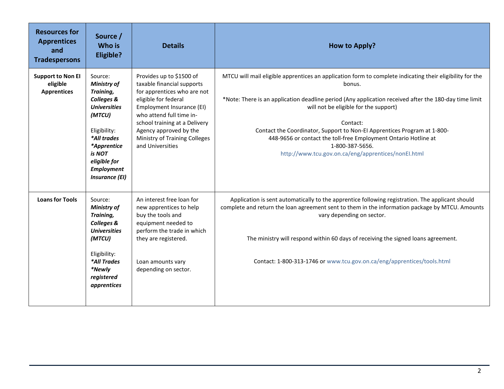| <b>Resources for</b><br><b>Apprentices</b><br>and<br><b>Tradespersons</b> | Source /<br>Who is<br>Eligible?                                                                                                                                                                                 | <b>Details</b>                                                                                                                                                                                                                                                                         | <b>How to Apply?</b>                                                                                                                                                                                                                                                                                                                                                                                                                                                                                      |
|---------------------------------------------------------------------------|-----------------------------------------------------------------------------------------------------------------------------------------------------------------------------------------------------------------|----------------------------------------------------------------------------------------------------------------------------------------------------------------------------------------------------------------------------------------------------------------------------------------|-----------------------------------------------------------------------------------------------------------------------------------------------------------------------------------------------------------------------------------------------------------------------------------------------------------------------------------------------------------------------------------------------------------------------------------------------------------------------------------------------------------|
| <b>Support to Non El</b><br>eligible<br><b>Apprentices</b>                | Source:<br><b>Ministry of</b><br>Training,<br>Colleges &<br><b>Universities</b><br>(MTCU)<br>Eligibility:<br>*All trades<br>*Apprentice<br>is NOT<br>eligible for<br><b>Employment</b><br><b>Insurance (EI)</b> | Provides up to \$1500 of<br>taxable financial supports<br>for apprentices who are not<br>eligible for federal<br>Employment Insurance (EI)<br>who attend full time in-<br>school training at a Delivery<br>Agency approved by the<br>Ministry of Training Colleges<br>and Universities | MTCU will mail eligible apprentices an application form to complete indicating their eligibility for the<br>bonus.<br>*Note: There is an application deadline period (Any application received after the 180-day time limit<br>will not be eligible for the support)<br>Contact:<br>Contact the Coordinator, Support to Non-El Apprentices Program at 1-800-<br>448-9656 or contact the toll-free Employment Ontario Hotline at<br>1-800-387-5656.<br>http://www.tcu.gov.on.ca/eng/apprentices/nonEl.html |
| <b>Loans for Tools</b>                                                    | Source:<br><b>Ministry of</b><br>Training,<br>Colleges &<br><b>Universities</b><br>(MTCU)<br>Eligibility:<br>*All Trades<br>*Newly<br>registered<br>apprentices                                                 | An interest free loan for<br>new apprentices to help<br>buy the tools and<br>equipment needed to<br>perform the trade in which<br>they are registered.<br>Loan amounts vary<br>depending on sector.                                                                                    | Application is sent automatically to the apprentice following registration. The applicant should<br>complete and return the loan agreement sent to them in the information package by MTCU. Amounts<br>vary depending on sector.<br>The ministry will respond within 60 days of receiving the signed loans agreement.<br>Contact: 1-800-313-1746 or www.tcu.gov.on.ca/eng/apprentices/tools.html                                                                                                          |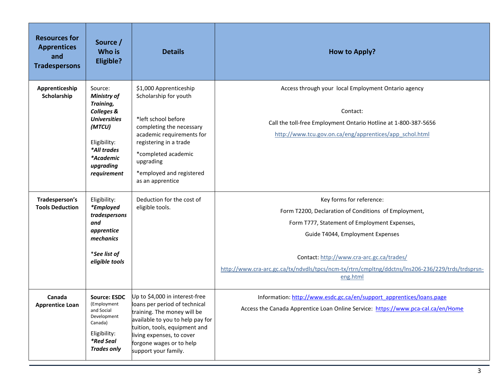| <b>Resources for</b><br><b>Apprentices</b><br>and<br><b>Tradespersons</b> | Source /<br>Who is<br><b>Eligible?</b>                                                                                                                            | <b>Details</b>                                                                                                                                                                                                                                       | <b>How to Apply?</b>                                                                                                                                                                                                                                                                                                              |
|---------------------------------------------------------------------------|-------------------------------------------------------------------------------------------------------------------------------------------------------------------|------------------------------------------------------------------------------------------------------------------------------------------------------------------------------------------------------------------------------------------------------|-----------------------------------------------------------------------------------------------------------------------------------------------------------------------------------------------------------------------------------------------------------------------------------------------------------------------------------|
| Apprenticeship<br>Scholarship                                             | Source:<br><b>Ministry of</b><br>Training,<br>Colleges &<br><b>Universities</b><br>(MTCU)<br>Eligibility:<br>*All trades<br>*Academic<br>upgrading<br>requirement | \$1,000 Apprenticeship<br>Scholarship for youth<br>*left school before<br>completing the necessary<br>academic requirements for<br>registering in a trade<br>*completed academic<br>upgrading<br>*employed and registered<br>as an apprentice        | Access through your local Employment Ontario agency<br>Contact:<br>Call the toll-free Employment Ontario Hotline at 1-800-387-5656<br>http://www.tcu.gov.on.ca/eng/apprentices/app_schol.html                                                                                                                                     |
| Tradesperson's<br><b>Tools Deduction</b>                                  | Eligibility:<br>*Employed<br>tradespersons<br>and<br>apprentice<br>mechanics<br><i>*See list of</i><br>eligible tools                                             | Deduction for the cost of<br>eligible tools.                                                                                                                                                                                                         | Key forms for reference:<br>Form T2200, Declaration of Conditions of Employment,<br>Form T777, Statement of Employment Expenses,<br>Guide T4044, Employment Expenses<br>Contact: http://www.cra-arc.gc.ca/trades/<br>http://www.cra-arc.gc.ca/tx/ndvdls/tpcs/ncm-tx/rtrn/cmpltng/ddctns/lns206-236/229/trds/trdsprsn-<br>eng.html |
| Canada<br><b>Apprentice Loan</b>                                          | <b>Source: ESDC</b><br>(Employment<br>and Social<br>Development<br>Canada)<br>Eligibility:<br>*Red Seal<br><b>Trades only</b>                                     | Up to \$4,000 in interest-free<br>loans per period of technical<br>training. The money will be<br>available to you to help pay for<br>tuition, tools, equipment and<br>living expenses, to cover<br>forgone wages or to help<br>support your family. | Information: http://www.esdc.gc.ca/en/support_apprentices/loans.page<br>Access the Canada Apprentice Loan Online Service: https://www.pca-cal.ca/en/Home                                                                                                                                                                          |